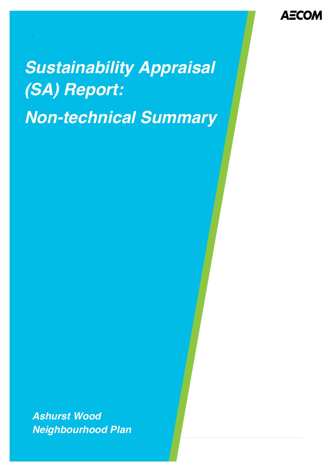**AECOM** 

# *Sustainability Appraisal (SA) Report: Non-technical Summary*

.

*Ashurst Wood Neighbourhood Plan*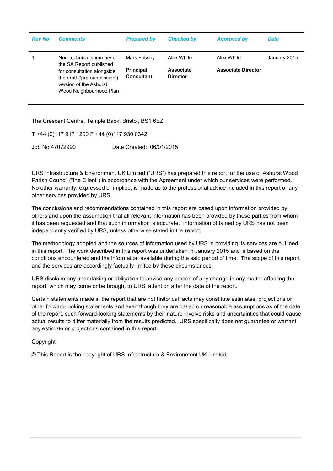| <b>Rev No</b> | <b>Comments</b>                                                                                                 | <b>Prepared by</b>                    | <b>Checked by</b>            | <b>Approved by</b>        | <b>Date</b>  |
|---------------|-----------------------------------------------------------------------------------------------------------------|---------------------------------------|------------------------------|---------------------------|--------------|
|               | Non-technical summary of<br>the SA Report published                                                             | Mark Fessey                           | Alex White                   | Alex White                | January 2015 |
|               | for consultation alongside<br>the draft ('pre-submission')<br>version of the Ashurst<br>Wood Neighbourhood Plan | <b>Principal</b><br><b>Consultant</b> | Associate<br><b>Director</b> | <b>Associate Director</b> |              |

The Crescent Centre, Temple Back, Bristol, BS1 6EZ

T +44 (0)117 917 1200 F +44 (0)117 930 0342

Job No 47072990 Date Created: 06/01/2015

URS Infrastructure & Environment UK Limited ("URS") has prepared this report for the use of Ashurst Wood Parish Council ("the Client") in accordance with the Agreement under which our services were performed. No other warranty, expressed or implied, is made as to the professional advice included in this report or any other services provided by URS.

The conclusions and recommendations contained in this report are based upon information provided by others and upon the assumption that all relevant information has been provided by those parties from whom it has been requested and that such information is accurate. Information obtained by URS has not been independently verified by URS, unless otherwise stated in the report.

The methodology adopted and the sources of information used by URS in providing its services are outlined in this report. The work described in this report was undertaken in January 2015 and is based on the conditions encountered and the information available during the said period of time. The scope of this report and the services are accordingly factually limited by these circumstances.

URS disclaim any undertaking or obligation to advise any person of any change in any matter affecting the report, which may come or be brought to URS' attention after the date of the report.

Certain statements made in the report that are not historical facts may constitute estimates, projections or other forward-looking statements and even though they are based on reasonable assumptions as of the date of the report, such forward-looking statements by their nature involve risks and uncertainties that could cause actual results to differ materially from the results predicted. URS specifically does not guarantee or warrant any estimate or projections contained in this report.

Copyright

© This Report is the copyright of URS Infrastructure & Environment UK Limited.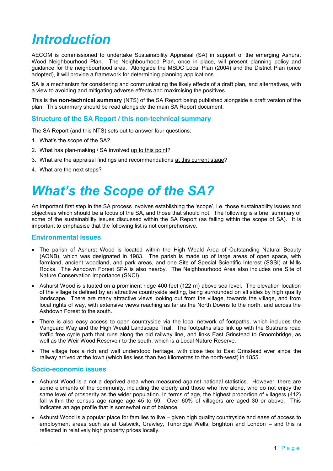## *Introduction*

AECOM is commissioned to undertake Sustainability Appraisal (SA) in support of the emerging Ashurst Wood Neighbourhood Plan. The Neighbourhood Plan, once in place, will present planning policy and guidance for the neighbourhood area. Alongside the MSDC Local Plan (2004) and the District Plan (once adopted), it will provide a framework for determining planning applications.

SA is a mechanism for considering and communicating the likely effects of a draft plan, and alternatives, with a view to avoiding and mitigating adverse effects and maximising the positives.

This is the **non-technical summary** (NTS) of the SA Report being published alongside a draft version of the plan. This summary should be read alongside the main SA Report document.

#### **Structure of the SA Report / this non-technical summary**

The SA Report (and this NTS) sets out to answer four questions:

- 1. What's the scope of the SA?
- 2. What has plan-making / SA involved up to this point?
- 3. What are the appraisal findings and recommendations at this current stage?
- 4. What are the next steps?

### *What's the Scope of the SA?*

An important first step in the SA process involves establishing the 'scope', i.e. those sustainability issues and objectives which should be a focus of the SA, and those that should not. The following is a brief summary of some of the sustainability issues discussed within the SA Report (as falling within the scope of SA). It is important to emphasise that the following list is not comprehensive.

#### **Environmental issues**

- The parish of Ashurst Wood is located within the High Weald Area of Outstanding Natural Beauty (AONB), which was designated in 1983. The parish is made up of large areas of open space, with farmland, ancient woodland, and park areas, and one Site of Special Scientific Interest (SSSI) at Mills Rocks. The Ashdown Forest SPA is also nearby. The Neighbourhood Area also includes one Site of Nature Conservation Importance (SNCI).
- Ashurst Wood is situated on a prominent ridge 400 feet (122 m) above sea level. The elevation location of the village is defined by an attractive countryside setting, being surrounded on all sides by high quality landscape. There are many attractive views looking out from the village, towards the village, and from local rights of way, with extensive views reaching as far as the North Downs to the north, and across the Ashdown Forest to the south.
- There is also easy access to open countryside via the local network of footpaths, which includes the Vanguard Way and the High Weald Landscape Trail. The footpaths also link up with the Sustrans road traffic free cycle path that runs along the old railway line, and links East Grinstead to Groombridge, as well as the Weir Wood Reservoir to the south, which is a Local Nature Reserve.
- The village has a rich and well understood heritage, with close ties to East Grinstead ever since the railway arrived at the town (which lies less than two kilometres to the north-west) in 1855.

#### **Socio-economic issues**

- Ashurst Wood is a not a deprived area when measured against national statistics. However, there are some elements of the community, including the elderly and those who live alone, who do not enjoy the same level of prosperity as the wider population. In terms of age, the highest proportion of villagers (412) fall within the census age range age 45 to 59. Over 60% of villagers are aged 30 or above. This indicates an age profile that is somewhat out of balance.
- Ashurst Wood is a popular place for families to live given high quality countryside and ease of access to employment areas such as at Gatwick, Crawley, Tunbridge Wells, Brighton and London – and this is reflected in relatively high property prices locally.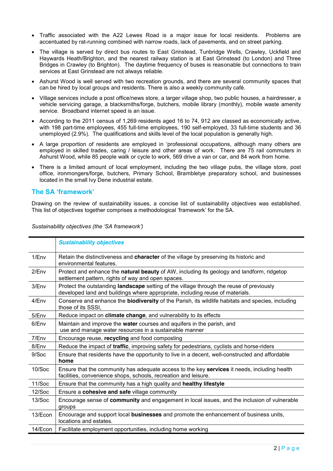- Traffic associated with the A22 Lewes Road is a major issue for local residents. Problems are accentuated by rat-running combined with narrow roads, lack of pavements, and on street parking.
- The village is served by direct bus routes to East Grinstead, Tunbridge Wells, Crawley, Uckfield and Haywards Heath/Brighton, and the nearest railway station is at East Grinstead (to London) and Three Bridges in Crawley (to Brighton). The daytime frequency of buses is reasonable but connections to train services at East Grinstead are not always reliable.
- Ashurst Wood is well served with two recreation grounds, and there are several community spaces that can be hired by local groups and residents. There is also a weekly community café.
- Village services include a post office/news store, a larger village shop, two public houses, a hairdresser, a vehicle servicing garage, a blacksmiths/forge, butchers, mobile library (monthly), mobile waste amenity service. Broadband internet speed is an issue.
- $\bullet$  According to the 2011 census of 1,269 residents aged 16 to 74, 912 are classed as economically active, with 198 part-time employees, 455 full-time employees, 190 self-employed, 33 full-time students and 36 unemployed (2.9%). The qualifications and skills level of the local population is generally high.
- A large proportion of residents are employed in 'professional occupations, although many others are employed in skilled trades, caring / leisure and other areas of work. There are 75 rail commuters in Ashurst Wood, while 85 people walk or cycle to work, 569 drive a van or car, and 84 work from home.
- There is a limited amount of local employment, including the two village pubs, the village store, post office, ironmongers/forge, butchers, Primary School, Brambletye preparatory school, and businesses located in the small Ivy Dene industrial estate.

### **The SA 'framework'**

Drawing on the review of sustainability issues, a concise list of sustainability objectives was established. This list of objectives together comprises a methodological 'framework' for the SA.

|         | <b>Sustainability objectives</b>                                                                                                                                          |  |  |
|---------|---------------------------------------------------------------------------------------------------------------------------------------------------------------------------|--|--|
| 1/Env   | Retain the distinctiveness and <b>character</b> of the village by preserving its historic and<br>environmental features.                                                  |  |  |
| 2/Env   | Protect and enhance the natural beauty of AW, including its geology and landform, ridgetop<br>settlement pattern, rights of way and open spaces.                          |  |  |
| 3/Env   | Protect the outstanding landscape setting of the village through the reuse of previously<br>developed land and buildings where appropriate, including reuse of materials. |  |  |
| 4/Env   | Conserve and enhance the <b>biodiversity</b> of the Parish, its wildlife habitats and species, including<br>those of its SSSI.                                            |  |  |
| 5/Env   | Reduce impact on climate change, and vulnerability to its effects                                                                                                         |  |  |
| 6/Env   | Maintain and improve the water courses and aquifers in the parish, and<br>use and manage water resources in a sustainable manner                                          |  |  |
| 7/Env   | Encourage reuse, recycling and food composting                                                                                                                            |  |  |
| 8/Env   | Reduce the impact of traffic, improving safety for pedestrians, cyclists and horse-riders                                                                                 |  |  |
| 9/Soc   | Ensure that residents have the opportunity to live in a decent, well-constructed and affordable<br>home                                                                   |  |  |
| 10/Soc  | Ensure that the community has adequate access to the key services it needs, including health<br>facilities, convenience shops, schools, recreation and leisure.           |  |  |
| 11/Soc  | Ensure that the community has a high quality and healthy lifestyle                                                                                                        |  |  |
| 12/Soc  | Ensure a cohesive and safe village community                                                                                                                              |  |  |
| 13/Soc  | Encourage sense of community and engagement in local issues, and the inclusion of vulnerable<br>groups                                                                    |  |  |
| 13/Econ | Encourage and support local businesses and promote the enhancement of business units,<br>locations and estates.                                                           |  |  |
| 14/Econ | Facilitate employment opportunities, including home working                                                                                                               |  |  |

*Sustainability objectives (the 'SA framework')*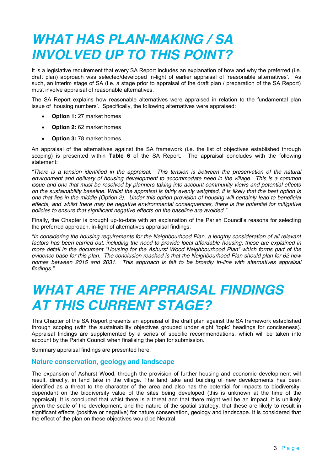### *WHAT HAS PLAN-MAKING / SA INVOLVED UP TO THIS POINT?*

It is a legislative requirement that every SA Report includes an explanation of how and why the preferred (i.e. draft plan) approach was selected/developed in-light of earlier appraisal of 'reasonable alternatives'. As such, an interim stage of SA (i.e. a stage prior to appraisal of the draft plan / preparation of the SA Report) must involve appraisal of reasonable alternatives.

The SA Report explains how reasonable alternatives were appraised in relation to the fundamental plan issue of 'housing numbers'. Specifically, the following alternatives were appraised:

- **Option 1:** 27 market homes
- **Option 2:** 62 market homes
- **Option 3:** 78 market homes.

An appraisal of the alternatives against the SA framework (i.e. the list of objectives established through scoping) is presented within **Table 6** of the SA Report. The appraisal concludes with the following statement:

*"There is a tension identified in the appraisal. This tension is between the preservation of the natural environment and delivery of housing development to accommodate need in the village. This is a common issue and one that must be resolved by planners taking into account community views and potential effects on the sustainability baseline. Whilst the appraisal is fairly evenly weighted, it is likely that the best option is one that lies in the middle (Option 2). Under this option provision of housing will certainly lead to beneficial effects, and whilst there may be negative environmental consequences, there is the potential for mitigative policies to ensure that significant negative effects on the baseline are avoided."*

Finally, the Chapter is brought up-to-date with an explanation of the Parish Council's reasons for selecting the preferred approach, in-light of alternatives appraisal findings:

*"In considering the housing requirements for the Neighbourhood Plan, a lengthy consideration of all relevant factors has been carried out, including the need to provide local affordable housing; these are explained in more detail in the document "Housing for the Ashurst Wood Neighbourhood Plan" which forms part of the evidence base for this plan. The conclusion reached is that the Neighbourhood Plan should plan for 62 new homes between 2015 and 2031. This approach is felt to be broadly in-line with alternatives appraisal findings."*

### *WHAT ARE THE APPRAISAL FINDINGS AT THIS CURRENT STAGE?*

This Chapter of the SA Report presents an appraisal of the draft plan against the SA framework established through scoping (with the sustainability objectives grouped under eight 'topic' headings for conciseness). Appraisal findings are supplemented by a series of specific recommendations, which will be taken into account by the Parish Council when finalising the plan for submission.

Summary appraisal findings are presented here.

#### **Nature conservation, geology and landscape**

The expansion of Ashurst Wood, through the provision of further housing and economic development will result, directly, in land take in the village. The land take and building of new developments has been identified as a threat to the character of the area and also has the potential for impacts to biodiversity, dependant on the biodiversity value of the sites being developed (this is unknown at the time of the appraisal). It is concluded that whist there is a threat and that there might well be an impact, it is unlikely given the scale of the development, and the nature of the spatial strategy, that these are likely to result in significant effects (positive or negative) for nature conservation, geology and landscape. It is considered that the effect of the plan on these objectives would be Neutral.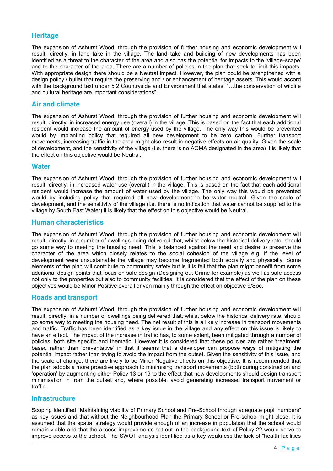#### **Heritage**

The expansion of Ashurst Wood, through the provision of further housing and economic development will result, directly, in land take in the village. The land take and building of new developments has been identified as a threat to the character of the area and also has the potential for impacts to the 'village-scape' and to the character of the area. There are a number of policies in the plan that seek to limit this impacts. With appropriate design there should be a Neutral impact. However, the plan could be strengthened with a design policy / bullet that require the preserving and / or enhancement of heritage assets. This would accord with the background text under 5.2 Countryside and Environment that states: "...the conservation of wildlife and cultural heritage are important considerations".

#### **Air and climate**

The expansion of Ashurst Wood, through the provision of further housing and economic development will result, directly, in increased energy use (overall) in the village. This is based on the fact that each additional resident would increase the amount of energy used by the village. The only way this would be prevented would by implanting policy that required all new development to be zero carbon. Further transport movements, increasing traffic in the area might also result in negative effects on air quality. Given the scale of development, and the sensitivity of the village (i.e. there is no AQMA designated in the area) it is likely that the effect on this objective would be Neutral.

#### **Water**

The expansion of Ashurst Wood, through the provision of further housing and economic development will result, directly, in increased water use (overall) in the village. This is based on the fact that each additional resident would increase the amount of water used by the village. The only way this would be prevented would by including policy that required all new development to be water neutral. Given the scale of development, and the sensitivity of the village (i.e. there is no indication that water cannot be supplied to the village by South East Water) it is likely that the effect on this objective would be Neutral.

#### **Human characteristics**

The expansion of Ashurst Wood, through the provision of further housing and economic development will result, directly, in a number of dwellings being delivered that, whilst below the historical delivery rate, should go some way to meeting the housing need. This is balanced against the need and desire to preserve the character of the area which closely relates to the social cohesion of the village e.g. if the level of development were unsustainable the village may become fragmented both socially and physically. Some elements of the plan will contribute to community safety but is it is felt that the plan might benefit from some additional design points that focus on safe design (Designing out Crime for example) as well as safe access not only to the properties but also to community facilities. It is considered that the effect of the plan on these objectives would be Minor Positive overall driven mainly through the effect on objective 9/Soc.

#### **Roads and transport**

The expansion of Ashurst Wood, through the provision of further housing and economic development will result, directly, in a number of dwellings being delivered that, whilst below the historical delivery rate, should go some way to meeting the housing need. The net result of this is a likely increase in transport movements and traffic. Traffic has been identified as a key issue in the village and any effect on this issue is likely to have an effect. The impact of the increase in traffic has, to some extent, been mitigated through a number of policies, both site specific and thematic. However it is considered that these policies are rather 'treatment' based rather than 'preventative' in that it seems that a developer can propose ways of mitigating the potential impact rather than trying to avoid the impact from the outset. Given the sensitivity of this issue, and the scale of change, there are likely to be Minor Negative effects on this objective. It is recommended that the plan adopts a more proactive approach to minimising transport movements (both during construction and 'operation' by augmenting either Policy 13 or 19 to the effect that new developments should design transport minimisation in from the outset and, where possible, avoid generating increased transport movement or traffic.

#### **Infrastructure**

Scoping identified "Maintaining viability of Primary School and Pre-School through adequate pupil numbers" as key issues and that without the Neighbourhood Plan the Primary School or Pre-school might close. It is assumed that the spatial strategy would provide enough of an increase in population that the school would remain viable and that the access improvements set out in the background text of Policy 22 would serve to improve access to the school. The SWOT analysis identified as a key weakness the lack of "health facilities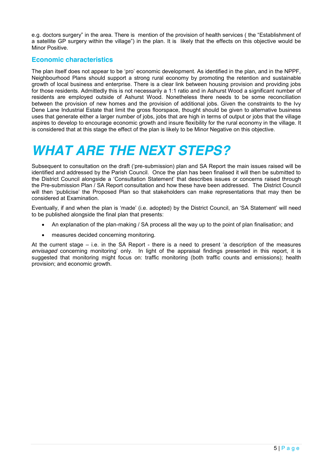e.g. doctors surgery" in the area. There is mention of the provision of health services ( the "Establishment of a satellite GP surgery within the village") in the plan. It is likely that the effects on this objective would be Minor Positive.

#### **Economic characteristics**

The plan itself does not appear to be 'pro' economic development. As identified in the plan, and in the NPPF, Neighbourhood Plans should support a strong rural economy by promoting the retention and sustainable growth of local business and enterprise. There is a clear link between housing provision and providing jobs for those residents. Admittedly this is not necessarily a 1:1 ratio and in Ashurst Wood a significant number of residents are employed outside of Ashurst Wood. Nonetheless there needs to be some reconciliation between the provision of new homes and the provision of additional jobs. Given the constraints to the Ivy Dene Lane Industrial Estate that limit the gross floorspace, thought should be given to alternative business uses that generate either a larger number of jobs, jobs that are high in terms of output or jobs that the village aspires to develop to encourage economic growth and insure flexibility for the rural economy in the village. It is considered that at this stage the effect of the plan is likely to be Minor Negative on this objective.

### *WHAT ARE THE NEXT STEPS?*

Subsequent to consultation on the draft ('pre-submission) plan and SA Report the main issues raised will be identified and addressed by the Parish Council. Once the plan has been finalised it will then be submitted to the District Council alongside a 'Consultation Statement' that describes issues or concerns raised through the Pre-submission Plan / SA Report consultation and how these have been addressed. The District Council will then 'publicise' the Proposed Plan so that stakeholders can make representations that may then be considered at Examination.

Eventually, if and when the plan is 'made' (i.e. adopted) by the District Council, an 'SA Statement' will need to be published alongside the final plan that presents:

- An explanation of the plan-making / SA process all the way up to the point of plan finalisation; and
- measures decided concerning monitoring.

At the current stage – i.e. in the SA Report - there is a need to present 'a description of the measures *envisaged* concerning monitoring' only. In light of the appraisal findings presented in this report, it is suggested that monitoring might focus on: traffic monitoring (both traffic counts and emissions); health provision; and economic growth.